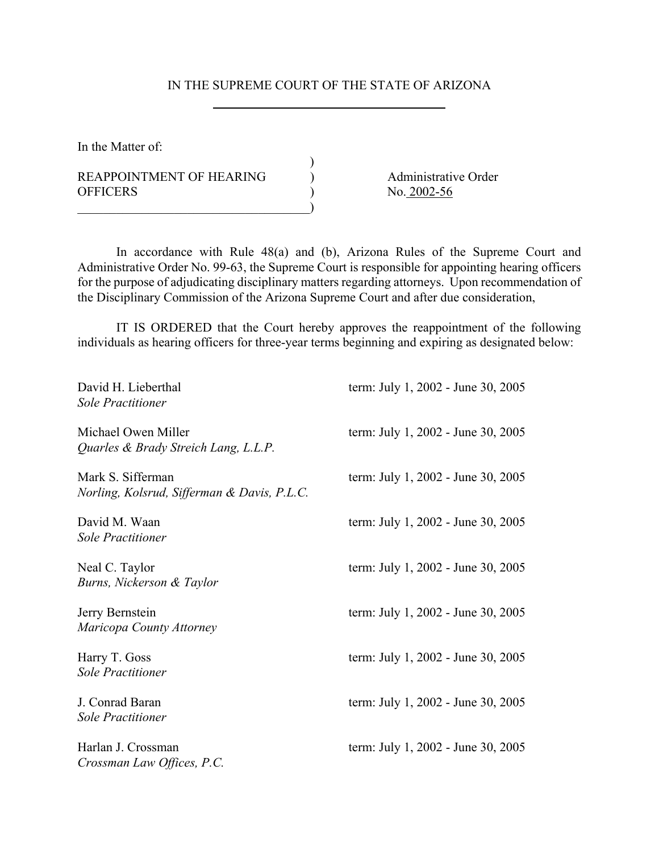## IN THE SUPREME COURT OF THE STATE OF ARIZONA

)

In the Matter of:

REAPPOINTMENT OF HEARING (a) Administrative Order OFFICERS No. 2002-56

 $\qquad \qquad )$ 

In accordance with Rule 48(a) and (b), Arizona Rules of the Supreme Court and Administrative Order No. 99-63, the Supreme Court is responsible for appointing hearing officers for the purpose of adjudicating disciplinary matters regarding attorneys. Upon recommendation of the Disciplinary Commission of the Arizona Supreme Court and after due consideration,

IT IS ORDERED that the Court hereby approves the reappointment of the following individuals as hearing officers for three-year terms beginning and expiring as designated below:

| David H. Lieberthal<br><b>Sole Practitioner</b>                  | term: July 1, 2002 - June 30, 2005 |
|------------------------------------------------------------------|------------------------------------|
| Michael Owen Miller<br>Quarles & Brady Streich Lang, L.L.P.      | term: July 1, 2002 - June 30, 2005 |
| Mark S. Sifferman<br>Norling, Kolsrud, Sifferman & Davis, P.L.C. | term: July 1, 2002 - June 30, 2005 |
| David M. Waan<br><b>Sole Practitioner</b>                        | term: July 1, 2002 - June 30, 2005 |
| Neal C. Taylor<br>Burns, Nickerson & Taylor                      | term: July 1, 2002 - June 30, 2005 |
| Jerry Bernstein<br>Maricopa County Attorney                      | term: July 1, 2002 - June 30, 2005 |
| Harry T. Goss<br><b>Sole Practitioner</b>                        | term: July 1, 2002 - June 30, 2005 |
| J. Conrad Baran<br><b>Sole Practitioner</b>                      | term: July 1, 2002 - June 30, 2005 |
| Harlan J. Crossman<br>Crossman Law Offices, P.C.                 | term: July 1, 2002 - June 30, 2005 |